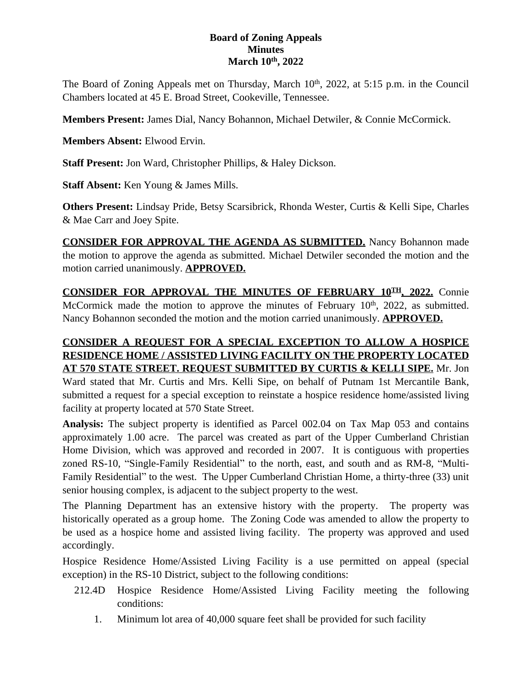## **Board of Zoning Appeals Minutes March 10th, 2022**

The Board of Zoning Appeals met on Thursday, March 10<sup>th</sup>, 2022, at 5:15 p.m. in the Council Chambers located at 45 E. Broad Street, Cookeville, Tennessee.

**Members Present:** James Dial, Nancy Bohannon, Michael Detwiler, & Connie McCormick.

**Members Absent:** Elwood Ervin.

**Staff Present:** Jon Ward, Christopher Phillips, & Haley Dickson.

**Staff Absent:** Ken Young & James Mills.

**Others Present:** Lindsay Pride, Betsy Scarsibrick, Rhonda Wester, Curtis & Kelli Sipe, Charles & Mae Carr and Joey Spite.

**CONSIDER FOR APPROVAL THE AGENDA AS SUBMITTED.** Nancy Bohannon made the motion to approve the agenda as submitted. Michael Detwiler seconded the motion and the motion carried unanimously. **APPROVED.**

**CONSIDER FOR APPROVAL THE MINUTES OF FEBRUARY 10TH , 2022.** Connie McCormick made the motion to approve the minutes of February 10<sup>th</sup>, 2022, as submitted. Nancy Bohannon seconded the motion and the motion carried unanimously. **APPROVED.**

## **CONSIDER A REQUEST FOR A SPECIAL EXCEPTION TO ALLOW A HOSPICE RESIDENCE HOME / ASSISTED LIVING FACILITY ON THE PROPERTY LOCATED AT 570 STATE STREET. REQUEST SUBMITTED BY CURTIS & KELLI SIPE.** Mr. Jon Ward stated that Mr. Curtis and Mrs. Kelli Sipe, on behalf of Putnam 1st Mercantile Bank, submitted a request for a special exception to reinstate a hospice residence home/assisted living

facility at property located at 570 State Street.

**Analysis:** The subject property is identified as Parcel 002.04 on Tax Map 053 and contains approximately 1.00 acre. The parcel was created as part of the Upper Cumberland Christian Home Division, which was approved and recorded in 2007. It is contiguous with properties zoned RS-10, "Single-Family Residential" to the north, east, and south and as RM-8, "Multi-Family Residential" to the west. The Upper Cumberland Christian Home, a thirty-three (33) unit senior housing complex, is adjacent to the subject property to the west.

The Planning Department has an extensive history with the property. The property was historically operated as a group home. The Zoning Code was amended to allow the property to be used as a hospice home and assisted living facility. The property was approved and used accordingly.

Hospice Residence Home/Assisted Living Facility is a use permitted on appeal (special exception) in the RS-10 District, subject to the following conditions:

- 212.4D Hospice Residence Home/Assisted Living Facility meeting the following conditions:
	- 1. Minimum lot area of 40,000 square feet shall be provided for such facility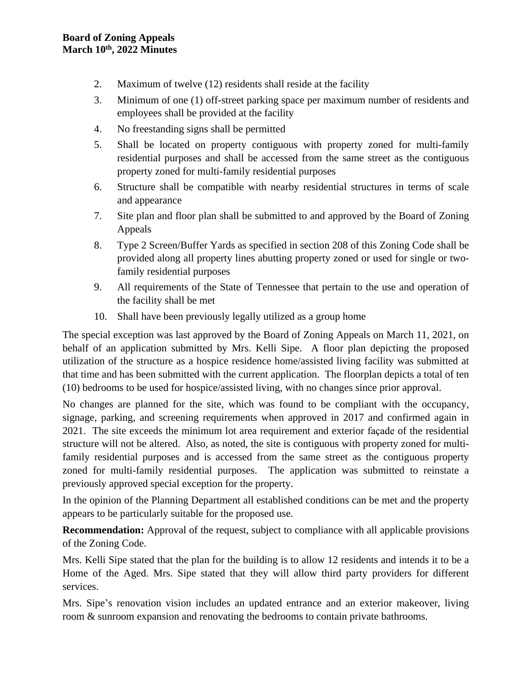- 2. Maximum of twelve (12) residents shall reside at the facility
- 3. Minimum of one (1) off-street parking space per maximum number of residents and employees shall be provided at the facility
- 4. No freestanding signs shall be permitted
- 5. Shall be located on property contiguous with property zoned for multi-family residential purposes and shall be accessed from the same street as the contiguous property zoned for multi-family residential purposes
- 6. Structure shall be compatible with nearby residential structures in terms of scale and appearance
- 7. Site plan and floor plan shall be submitted to and approved by the Board of Zoning Appeals
- 8. Type 2 Screen/Buffer Yards as specified in section 208 of this Zoning Code shall be provided along all property lines abutting property zoned or used for single or twofamily residential purposes
- 9. All requirements of the State of Tennessee that pertain to the use and operation of the facility shall be met
- 10. Shall have been previously legally utilized as a group home

The special exception was last approved by the Board of Zoning Appeals on March 11, 2021, on behalf of an application submitted by Mrs. Kelli Sipe. A floor plan depicting the proposed utilization of the structure as a hospice residence home/assisted living facility was submitted at that time and has been submitted with the current application. The floorplan depicts a total of ten (10) bedrooms to be used for hospice/assisted living, with no changes since prior approval.

No changes are planned for the site, which was found to be compliant with the occupancy, signage, parking, and screening requirements when approved in 2017 and confirmed again in 2021. The site exceeds the minimum lot area requirement and exterior façade of the residential structure will not be altered. Also, as noted, the site is contiguous with property zoned for multifamily residential purposes and is accessed from the same street as the contiguous property zoned for multi-family residential purposes. The application was submitted to reinstate a previously approved special exception for the property.

In the opinion of the Planning Department all established conditions can be met and the property appears to be particularly suitable for the proposed use.

**Recommendation:** Approval of the request, subject to compliance with all applicable provisions of the Zoning Code.

Mrs. Kelli Sipe stated that the plan for the building is to allow 12 residents and intends it to be a Home of the Aged. Mrs. Sipe stated that they will allow third party providers for different services.

Mrs. Sipe's renovation vision includes an updated entrance and an exterior makeover, living room & sunroom expansion and renovating the bedrooms to contain private bathrooms.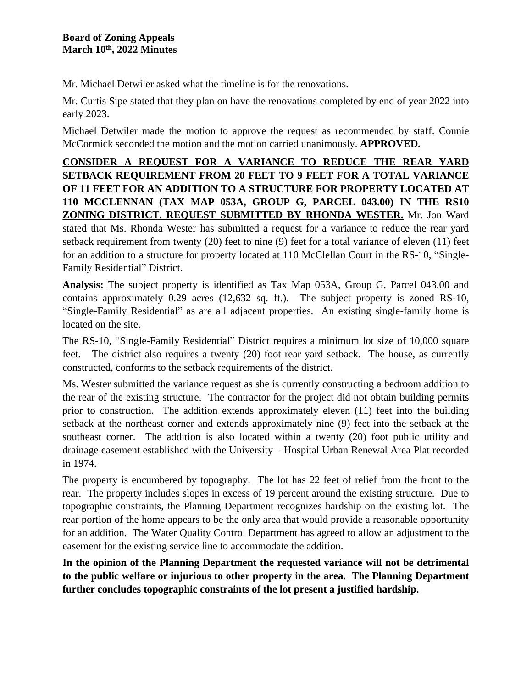Mr. Michael Detwiler asked what the timeline is for the renovations.

Mr. Curtis Sipe stated that they plan on have the renovations completed by end of year 2022 into early 2023.

Michael Detwiler made the motion to approve the request as recommended by staff. Connie McCormick seconded the motion and the motion carried unanimously. **APPROVED.**

## **CONSIDER A REQUEST FOR A VARIANCE TO REDUCE THE REAR YARD SETBACK REQUIREMENT FROM 20 FEET TO 9 FEET FOR A TOTAL VARIANCE OF 11 FEET FOR AN ADDITION TO A STRUCTURE FOR PROPERTY LOCATED AT 110 MCCLENNAN (TAX MAP 053A, GROUP G, PARCEL 043.00) IN THE RS10 ZONING DISTRICT. REQUEST SUBMITTED BY RHONDA WESTER.** Mr. Jon Ward stated that Ms. Rhonda Wester has submitted a request for a variance to reduce the rear yard setback requirement from twenty (20) feet to nine (9) feet for a total variance of eleven (11) feet for an addition to a structure for property located at 110 McClellan Court in the RS-10, "Single-Family Residential" District.

**Analysis:** The subject property is identified as Tax Map 053A, Group G, Parcel 043.00 and contains approximately 0.29 acres (12,632 sq. ft.). The subject property is zoned RS-10, "Single-Family Residential" as are all adjacent properties. An existing single-family home is located on the site.

The RS-10, "Single-Family Residential" District requires a minimum lot size of 10,000 square feet. The district also requires a twenty (20) foot rear yard setback. The house, as currently constructed, conforms to the setback requirements of the district.

Ms. Wester submitted the variance request as she is currently constructing a bedroom addition to the rear of the existing structure. The contractor for the project did not obtain building permits prior to construction. The addition extends approximately eleven (11) feet into the building setback at the northeast corner and extends approximately nine (9) feet into the setback at the southeast corner. The addition is also located within a twenty (20) foot public utility and drainage easement established with the University – Hospital Urban Renewal Area Plat recorded in 1974.

The property is encumbered by topography. The lot has 22 feet of relief from the front to the rear. The property includes slopes in excess of 19 percent around the existing structure. Due to topographic constraints, the Planning Department recognizes hardship on the existing lot. The rear portion of the home appears to be the only area that would provide a reasonable opportunity for an addition. The Water Quality Control Department has agreed to allow an adjustment to the easement for the existing service line to accommodate the addition.

**In the opinion of the Planning Department the requested variance will not be detrimental to the public welfare or injurious to other property in the area. The Planning Department further concludes topographic constraints of the lot present a justified hardship.**